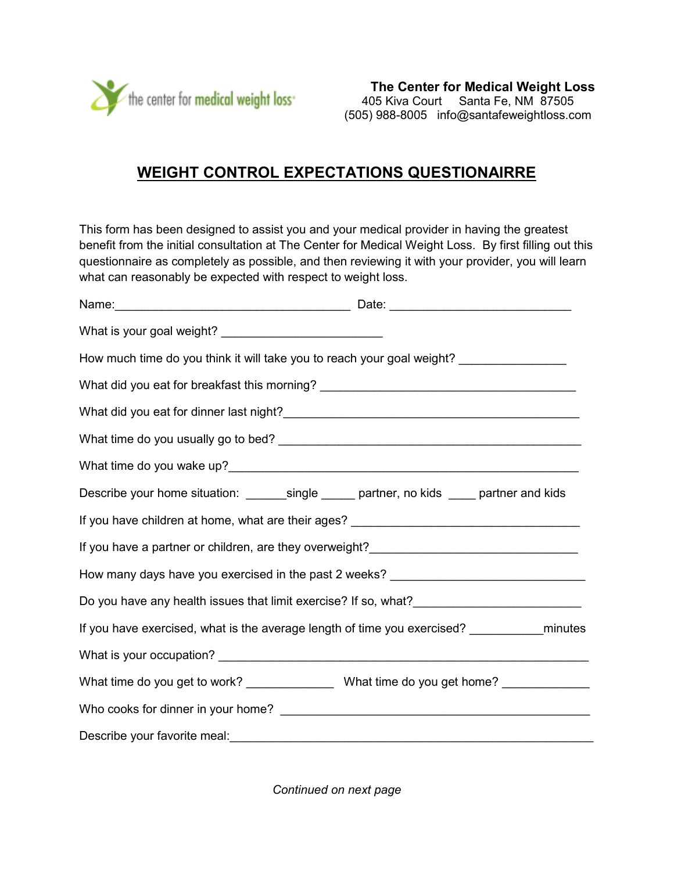

## **WEIGHT CONTROL EXPECTATIONS QUESTIONAIRRE**

This form has been designed to assist you and your medical provider in having the greatest benefit from the initial consultation at The Center for Medical Weight Loss. By first filling out this questionnaire as completely as possible, and then reviewing it with your provider, you will learn what can reasonably be expected with respect to weight loss.

| What is your goal weight? ______________________________                                    |  |
|---------------------------------------------------------------------------------------------|--|
| How much time do you think it will take you to reach your goal weight? ________________     |  |
| What did you eat for breakfast this morning? ___________________________________            |  |
|                                                                                             |  |
|                                                                                             |  |
|                                                                                             |  |
| Describe your home situation: ________single ______ partner, no kids _____ partner and kids |  |
|                                                                                             |  |
|                                                                                             |  |
| How many days have you exercised in the past 2 weeks? __________________________            |  |
|                                                                                             |  |
|                                                                                             |  |
|                                                                                             |  |
| What time do you get to work? __________________What time do you get home? _____________    |  |
|                                                                                             |  |
|                                                                                             |  |

*Continued on next page*